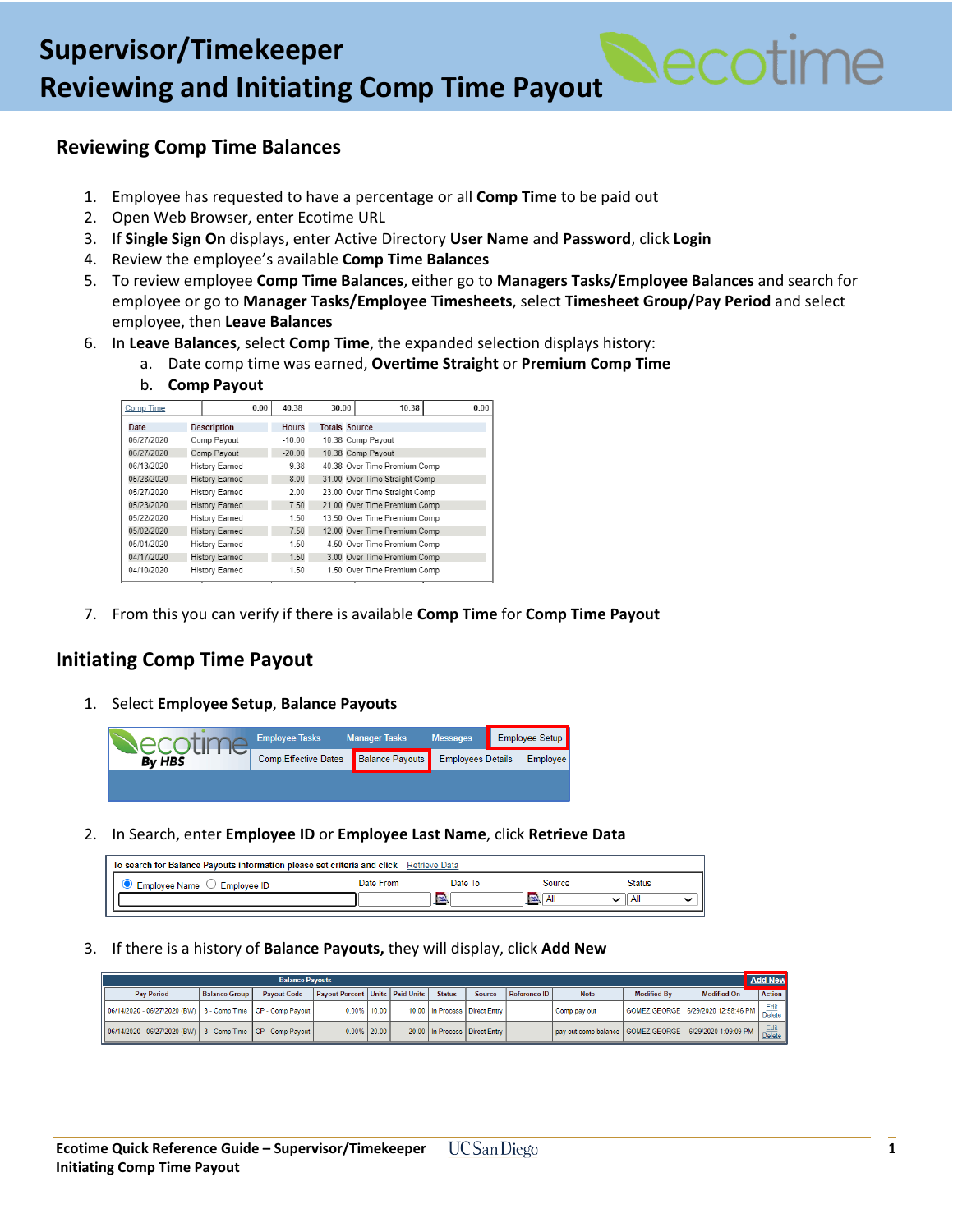

## **Reviewing Comp Time Balances**

- 1. Employee has requested to have a percentage or all **Comp Time** to be paid out
- 2. Open Web Browser, enter Ecotime URL
- 3. If **Single Sign On** displays, enter Active Directory **User Name** and **Password**, click **Login**
- 4. Review the employee's available **Comp Time Balances**
- 5. To review employee **Comp Time Balances**, either go to **Managers Tasks/Employee Balances** and search for employee or go to **Manager Tasks/Employee Timesheets**, select **Timesheet Group/Pay Period** and select employee, then **Leave Balances**
- 6. In **Leave Balances**, select **Comp Time**, the expanded selection displays history:
	- a. Date comp time was earned, **Overtime Straight** or **Premium Comp Time**
	- b. **Comp Payout**

| Comp Time  |                       |                       | 0.00 | 40.38    | 30.00                | 10.38                         | 0.00 |
|------------|-----------------------|-----------------------|------|----------|----------------------|-------------------------------|------|
| Date       |                       | <b>Description</b>    |      | Hours    | <b>Totals Source</b> |                               |      |
| 06/27/2020 |                       | Comp Payout           |      | $-10.00$ |                      | 10.38 Comp Payout             |      |
| 06/27/2020 |                       | Comp Payout           |      | $-20.00$ |                      | 10.38 Comp Payout             |      |
| 06/13/2020 |                       | <b>History Earned</b> |      | 9.38     |                      | 40.38 Over Time Premium Comp  |      |
| 05/28/2020 |                       | <b>History Earned</b> |      | 8.00     |                      | 31.00 Over Time Straight Comp |      |
| 05/27/2020 | <b>History Earned</b> |                       |      | 2.00     |                      | 23.00 Over Time Straight Comp |      |
| 05/23/2020 |                       | History Earned        |      | 7.50     |                      | 21.00 Over Time Premium Comp  |      |
| 05/22/2020 |                       | History Earned        |      | 1.50     |                      | 13.50 Over Time Premium Comp  |      |
| 05/02/2020 |                       | History Earned        |      | 7.50     |                      | 12.00 Over Time Premium Comp  |      |
| 05/01/2020 |                       | History Earned        |      | 1.50     |                      | 4.50 Over Time Premium Comp   |      |
| 04/17/2020 |                       | <b>History Earned</b> |      | 1.50     |                      | 3.00 Over Time Premium Comp   |      |
| 04/10/2020 |                       | History Earned        |      | 1.50     |                      | 1.50 Over Time Premium Comp   |      |

7. From this you can verify if there is available **Comp Time** for **Comp Time Payout**

## **Initiating Comp Time Payout**

1. Select **Employee Setup**, **Balance Payouts**



2. In Search, enter **Employee ID** or **Employee Last Name**, click **Retrieve Data**

| To search for Balance Payouts information please set criteria and click Retrieve Data |           |         |                       |               |  |  |  |
|---------------------------------------------------------------------------------------|-----------|---------|-----------------------|---------------|--|--|--|
| Employee Name $\heartsuit$<br>Employee ID                                             | Date From | Date To | Source                | <b>Status</b> |  |  |  |
|                                                                                       |           | 図       | $\overline{w}$<br>All | Al            |  |  |  |

3. If there is a history of **Balance Payouts,** they will display, click **Add New**

| <b>Balance Payouts</b>                                          |                      |                                  |                                              |  |  |               |                                 |              |                                                            |                    |                                      | <b>Add New</b>        |
|-----------------------------------------------------------------|----------------------|----------------------------------|----------------------------------------------|--|--|---------------|---------------------------------|--------------|------------------------------------------------------------|--------------------|--------------------------------------|-----------------------|
| <b>Pay Period</b>                                               | <b>Balance Group</b> | <b>Payout Code</b>               | <b>Payout Percent   Units   Paid Units  </b> |  |  | <b>Status</b> | Source                          | Reference ID | <b>Note</b>                                                | <b>Modified By</b> | <b>Modified On</b>                   | <b>Action</b>         |
| 06/14/2020 - 06/27/2020 (BW)   3 - Comp Time   CP - Comp Payout |                      |                                  | $0.00\%$   10.00                             |  |  |               | 10.00 In Process   Direct Entry |              | Comp pay out                                               |                    | GOMEZ GEORGE   6/29/2020 12:58:46 PM | Edit<br><b>Delete</b> |
| 06/14/2020 - 06/27/2020 (BW)                                    |                      | 3 - Comp Time   CP - Comp Payout | $0.00\%$   20.00                             |  |  |               | 20.00 In Process   Direct Entry |              | pay out comp balance   GOMEZ GEORGE   6/29/2020 1:09:09 PM |                    |                                      | Edit<br>Delete        |